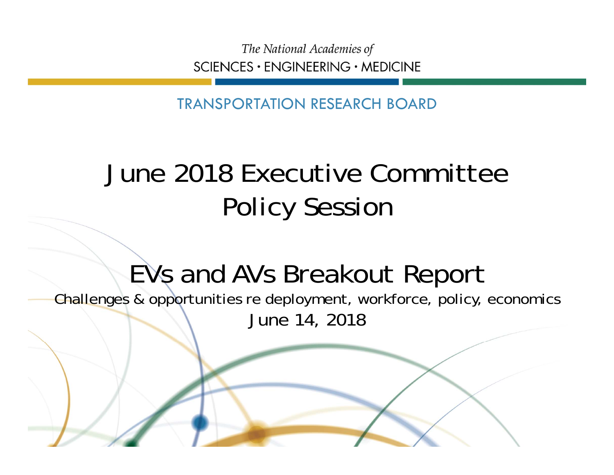The National Academies of SCIENCES · ENGINEERING · MEDICINE

TRANSPORTATION RESEARCH BOARD

## June 2018 Executive Committee Policy Session

## EVs and AVs Breakout Report

Challenges & opportunities re deployment, workforce, policy, economics June 14, 2018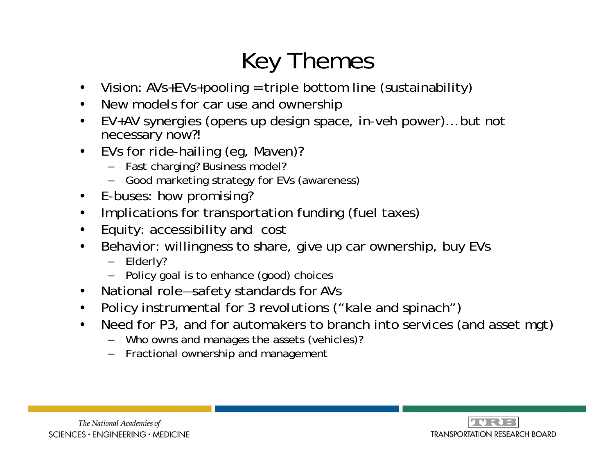## Key Themes

- $\bullet$ Vision: AVs+EVs+pooling = triple bottom line (sustainability)
- •New models for car use and ownership
- • EV+AV synergies (opens up design space, in-veh power)… but not necessary now?!
- $\bullet$  EVs for ride-hailing (eg, Maven)?
	- Fast charging? Business model?
	- Good marketing strategy for EVs (awareness)
- •E-buses: how promising?
- •Implications for transportation funding (fuel taxes)
- •Equity: accessibility and cost
- $\bullet$  Behavior: willingness to share, give up car ownership, buy EVs
	- Elderly?
	- Policy goal is to enhance (good) choices
- $\bullet$ National role—safety standards for AVs
- •Policy instrumental for 3 revolutions ("kale and spinach")
- • Need for P3, and for automakers to branch into services (and asset mgt)
	- Who owns and manages the assets (vehicles)?
	- Fractional ownership and management



The National Academies of  $SCIENCES · ENGINEERING · MEDICINE$